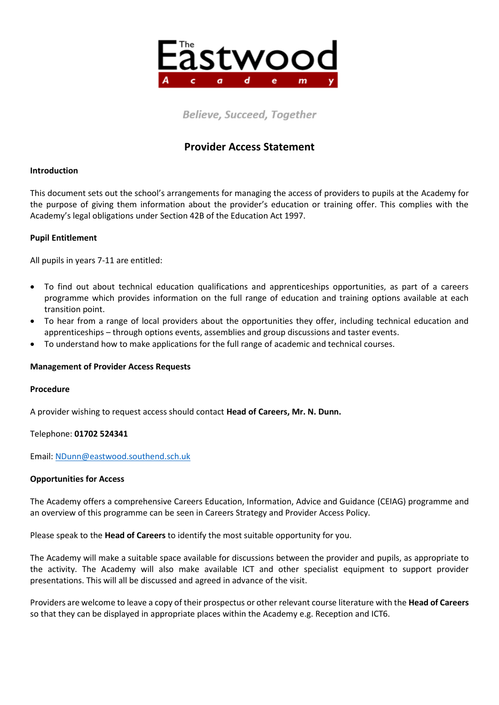

**Believe, Succeed, Together** 

# **Provider Access Statement**

### **Introduction**

This document sets out the school's arrangements for managing the access of providers to pupils at the Academy for the purpose of giving them information about the provider's education or training offer. This complies with the Academy's legal obligations under Section 42B of the Education Act 1997.

## **Pupil Entitlement**

All pupils in years 7-11 are entitled:

- To find out about technical education qualifications and apprenticeships opportunities, as part of a careers programme which provides information on the full range of education and training options available at each transition point.
- To hear from a range of local providers about the opportunities they offer, including technical education and apprenticeships – through options events, assemblies and group discussions and taster events.
- To understand how to make applications for the full range of academic and technical courses.

#### **Management of Provider Access Requests**

#### **Procedure**

A provider wishing to request access should contact **Head of Careers, Mr. N. Dunn.**

#### Telephone: **01702 524341**

Email: [NDunn@eastwood.southend.sch.uk](mailto:NDunn@eastwood.southend.sch.uk)

#### **Opportunities for Access**

The Academy offers a comprehensive Careers Education, Information, Advice and Guidance (CEIAG) programme and an overview of this programme can be seen in Careers Strategy and Provider Access Policy.

Please speak to the **Head of Careers** to identify the most suitable opportunity for you.

The Academy will make a suitable space available for discussions between the provider and pupils, as appropriate to the activity. The Academy will also make available ICT and other specialist equipment to support provider presentations. This will all be discussed and agreed in advance of the visit.

Providers are welcome to leave a copy of their prospectus or other relevant course literature with the **Head of Careers** so that they can be displayed in appropriate places within the Academy e.g. Reception and ICT6.